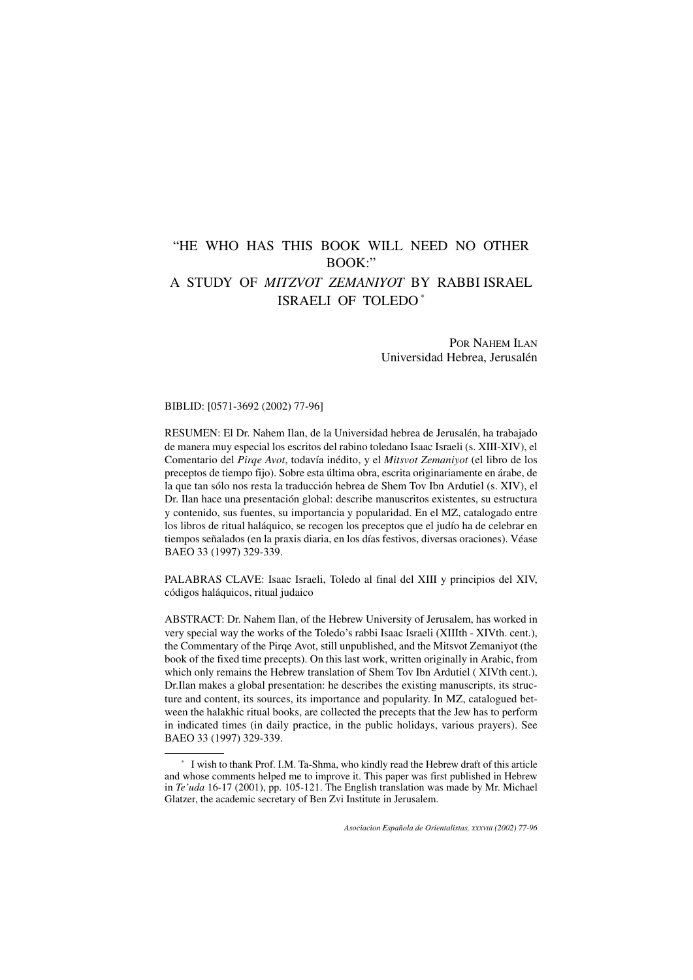# "HE WHO HAS THIS BOOK WILL NEED NO OTHER  $B\Omega$ <sub>W</sub>. A STUDY OF *MITZVOT ZEMANIYOT* BY RABBI ISRAEL

# ISRAELI OF TOLEDO \*

POR NAHEM ILAN Universidad Hebrea, Jerusalén

BIBLID: [0571-3692 (2002) 77-96]

RESUMEN: El Dr. Nahem Ilan, de la Universidad hebrea de Jerusalén, ha trabajado de manera muy especial los escritos del rabino toledano Isaac Israeli (s. XIII-XIV), el Comentario del *Pirqe Avot*, todavía inédito, y el *Mitsvot Zemaniyot* (el libro de los preceptos de tiempo fijo). Sobre esta última obra, escrita originariamente en árabe, de la que tan sólo nos resta la traducción hebrea de Shem Tov Ibn Ardutiel (s. XIV), el Dr. Ilan hace una presentación global: describe manuscritos existentes, su estructura y contenido, sus fuentes, su importancia y popularidad. En el MZ, catalogado entre los libros de ritual haláquico, se recogen los preceptos que el judío ha de celebrar en tiempos señalados (en la praxis diaria, en los días festivos, diversas oraciones). Véase BAEO 33 (1997) 329-339.

PALABRAS CLAVE: Isaac Israeli, Toledo al final del XIII y principios del XIV, códigos haláquicos, ritual judaico

ABSTRACT: Dr. Nahem Ilan, of the Hebrew University of Jerusalem, has worked in very special way the works of the Toledo's rabbi Isaac Israeli (XIIIth - XIVth. cent.), the Commentary of the Pirqe Avot, still unpublished, and the Mitsvot Zemaniyot (the book of the fixed time precepts). On this last work, written originally in Arabic, from which only remains the Hebrew translation of Shem Tov Ibn Ardutiel ( XIVth cent.), Dr.Ilan makes a global presentation: he describes the existing manuscripts, its structure and content, its sources, its importance and popularity. In MZ, catalogued between the halakhic ritual books, are collected the precepts that the Jew has to perform in indicated times (in daily practice, in the public holidays, various prayers). See BAEO 33 (1997) 329-339.

<sup>\*</sup> I wish to thank Prof. I.M. Ta-Shma, who kindly read the Hebrew draft of this article and whose comments helped me to improve it. This paper was first published in Hebrew in *Te'uda* 16-17 (2001), pp. 105-121. The English translation was made by Mr. Michael Glatzer, the academic secretary of Ben Zvi Institute in Jerusalem.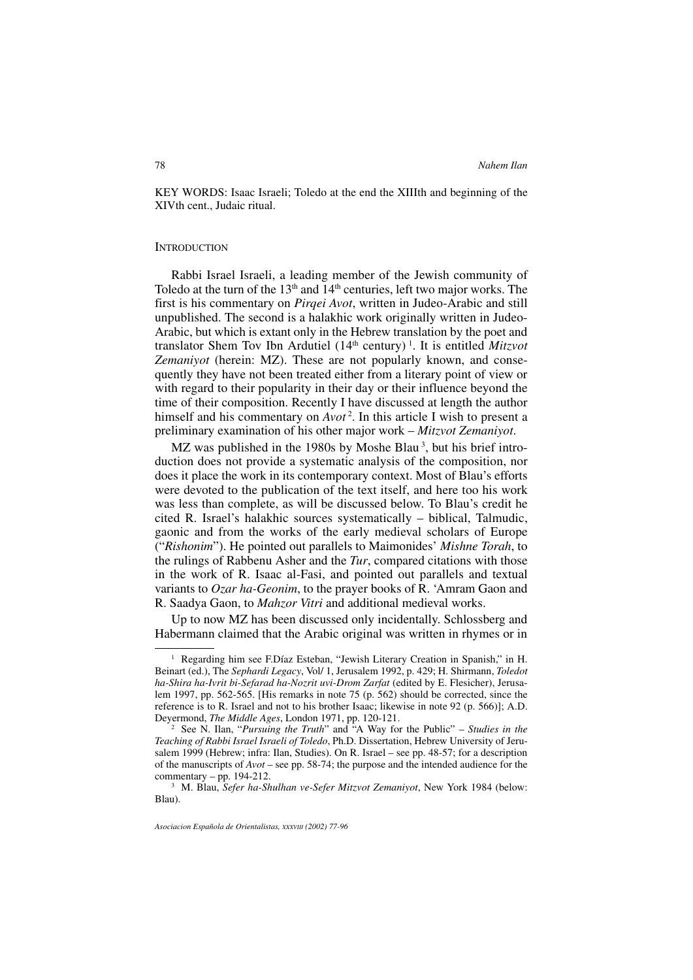KEY WORDS: Isaac Israeli; Toledo at the end the XIIIth and beginning of the XIVth cent., Judaic ritual.

#### **INTRODUCTION**

Rabbi Israel Israeli, a leading member of the Jewish community of Toledo at the turn of the  $13<sup>th</sup>$  and  $14<sup>th</sup>$  centuries, left two major works. The first is his commentary on *Pirqei Avot*, written in Judeo-Arabic and still unpublished. The second is a halakhic work originally written in Judeo-Arabic, but which is extant only in the Hebrew translation by the poet and translator Shem Tov Ibn Ardutiel (14th century) <sup>1</sup> . It is entitled *Mitzvot* Zemaniyot (herein: MZ). These are not popularly known, and consequently they have not been treated either from a literary point of view or with regard to their popularity in their day or their influence beyond the time of their composition. Recently I have discussed at length the author himself and his commentary on *Avot* <sup>2</sup> . In this article I wish to present a preliminary examination of his other major work – *Mitzvot Zemaniyot*.

MZ was published in the 1980s by Moshe Blau<sup>3</sup>, but his brief introduction does not provide a systematic analysis of the composition, nor does it place the work in its contemporary context. Most of Blau's efforts were devoted to the publication of the text itself, and here too his work was less than complete, as will be discussed below. To Blau's credit he cited R. Israel's halakhic sources systematically – biblical, Talmudic, gaonic and from the works of the early medieval scholars of Europe ("*Rishonim*"). He pointed out parallels to Maimonides' *Mishne Torah*, to the rulings of Rabbenu Asher and the *Tur*, compared citations with those in the work of R. Isaac al-Fasi, and pointed out parallels and textual variants to *Ozar ha-Geonim*, to the prayer books of R. 'Amram Gaon and R. Saadya Gaon, to *Mahzor Vitri* and additional medieval works.

Up to now MZ has been discussed only incidentally. Schlossberg and Habermann claimed that the Arabic original was written in rhymes or in

<sup>&</sup>lt;sup>1</sup> Regarding him see F.Díaz Esteban, "Jewish Literary Creation in Spanish," in H. Beinart (ed.), The *Sephardi Legacy*, Vol/ 1, Jerusalem 1992, p. 429; H. Shirmann, *Toledot ha-Shira ha-Ivrit bi-Sefarad ha-Nozrit uvi-Drom Zarfat* (edited by E. Flesicher), Jerusalem 1997, pp. 562-565. [His remarks in note 75 (p. 562) should be corrected, since the reference is to R. Israel and not to his brother Isaac; likewise in note 92 (p. 566)]; A.D. Deyermond, *The Middle Ages*, London 1971, pp. 120-121.

<sup>2</sup> See N. Ilan, "*Pursuing the Truth*" and "A Way for the Public" – *Studies in the Teaching of Rabbi Israel Israeli of Toledo*, Ph.D. Dissertation, Hebrew University of Jerusalem 1999 (Hebrew; infra: Ilan, Studies). On R. Israel – see pp. 48-57; for a description of the manuscripts of *Avot* – see pp. 58-74; the purpose and the intended audience for the commentary – pp.  $194-212$ .

<sup>3</sup> M. Blau, *Sefer ha-Shulhan ve-Sefer Mitzvot Zemaniyot*, New York 1984 (below: Blau).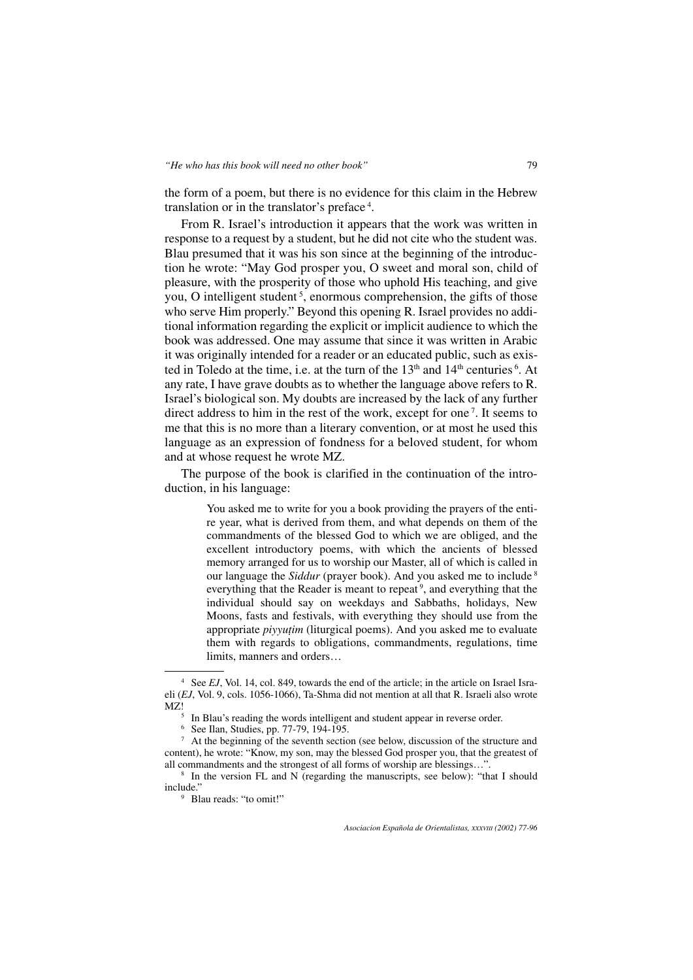the form of a poem, but there is no evidence for this claim in the Hebrew translation or in the translator's preface <sup>4</sup> .

From R. Israel's introduction it appears that the work was written in response to a request by a student, but he did not cite who the student was. Blau presumed that it was his son since at the beginning of the introduction he wrote: "May God prosper you, O sweet and moral son, child of pleasure, with the prosperity of those who uphold His teaching, and give you, O intelligent student<sup>5</sup>, enormous comprehension, the gifts of those who serve Him properly." Beyond this opening R. Israel provides no additional information regarding the explicit or implicit audience to which the book was addressed. One may assume that since it was written in Arabic it was originally intended for a reader or an educated public, such as existed in Toledo at the time, i.e. at the turn of the  $13<sup>th</sup>$  and  $14<sup>th</sup>$  centuries  $<sup>6</sup>$ . At</sup> any rate, I have grave doubts as to whether the language above refers to R. Israel's biological son. My doubts are increased by the lack of any further direct address to him in the rest of the work, except for one<sup>7</sup>. It seems to me that this is no more than a literary convention, or at most he used this language as an expression of fondness for a beloved student, for whom and at whose request he wrote MZ.

The purpose of the book is clarified in the continuation of the introduction, in his language:

> You asked me to write for you a book providing the prayers of the entire year, what is derived from them, and what depends on them of the commandments of the blessed God to which we are obliged, and the excellent introductory poems, with which the ancients of blessed memory arranged for us to worship our Master, all of which is called in our language the *Siddur* (prayer book). And you asked me to include <sup>8</sup> everything that the Reader is meant to repeat<sup>9</sup>, and everything that the individual should say on weekdays and Sabbaths, holidays, New Moons, fasts and festivals, with everything they should use from the appropriate *piyyutim* (liturgical poems). And you asked me to evaluate them with regards to obligations, commandments, regulations, time limits, manners and orders…

<sup>4</sup> See *EJ*, Vol. 14, col. 849, towards the end of the article; in the article on Israel Israeli (*EJ*, Vol. 9, cols. 1056-1066), Ta-Shma did not mention at all that R. Israeli also wrote

 $<sup>5</sup>$  In Blau's reading the words intelligent and student appear in reverse order.</sup>

<sup>6</sup> See Ilan, Studies, pp. 77-79, 194-195.

<sup>7</sup> At the beginning of the seventh section (see below, discussion of the structure and content), he wrote: "Know, my son, may the blessed God prosper you, that the greatest of all commandments and the strongest of all forms of worship are blessings…".

<sup>&</sup>lt;sup>8</sup> In the version FL and N (regarding the manuscripts, see below): "that I should include."

<sup>9</sup> Blau reads: "to omit!"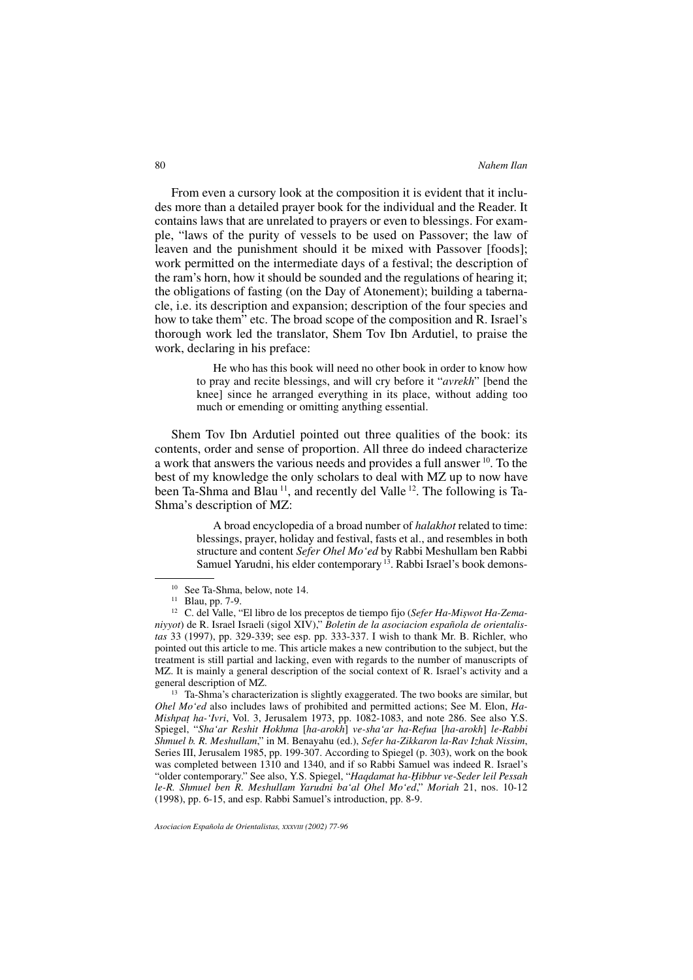From even a cursory look at the composition it is evident that it includes more than a detailed prayer book for the individual and the Reader. It contains laws that are unrelated to prayers or even to blessings. For example, "laws of the purity of vessels to be used on Passover; the law of leaven and the punishment should it be mixed with Passover [foods]; work permitted on the intermediate days of a festival; the description of the ram's horn, how it should be sounded and the regulations of hearing it; the obligations of fasting (on the Day of Atonement); building a tabernacle, i.e. its description and expansion; description of the four species and how to take them" etc. The broad scope of the composition and R. Israel's thorough work led the translator, Shem Tov Ibn Ardutiel, to praise the work, declaring in his preface:

> He who has this book will need no other book in order to know how to pray and recite blessings, and will cry before it "*avrekh*" [bend the knee] since he arranged everything in its place, without adding too much or emending or omitting anything essential.

Shem Tov Ibn Ardutiel pointed out three qualities of the book: its contents, order and sense of proportion. All three do indeed characterize a work that answers the various needs and provides a full answer 10. To the best of my knowledge the only scholars to deal with MZ up to now have been Ta-Shma and Blau 11, and recently del Valle 12. The following is Ta-Shma's description of MZ:

> A broad encyclopedia of a broad number of *halakhot* related to time: blessings, prayer, holiday and festival, fasts et al., and resembles in both structure and content *Sefer Ohel Mo'ed* by Rabbi Meshullam ben Rabbi Samuel Yarudni, his elder contemporary <sup>13</sup>. Rabbi Israel's book demons-

<sup>13</sup> Ta-Shma's characterization is slightly exaggerated. The two books are similar, but *Ohel Mo'ed* also includes laws of prohibited and permitted actions; See M. Elon, *Ha-Mishpat ha-'Ivri*, Vol. 3, Jerusalem 1973, pp. 1082-1083, and note 286. See also Y.S. Spiegel, "*Sha'ar Reshit Hokhma* [*ha-arokh*] *ve-sha'ar ha-Refua* [*ha-arokh*] *le-Rabbi Shmuel b. R. Meshullam*," in M. Benayahu (ed.), *Sefer ha-Zikkaron la-Rav Izhak Nissim*, Series III, Jerusalem 1985, pp. 199-307. According to Spiegel (p. 303), work on the book was completed between 1310 and 1340, and if so Rabbi Samuel was indeed R. Israel's "older contemporary." See also, Y.S. Spiegel, "*Haqdamat ha-Hibbur ve-Seder leil Pessah le-R. Shmuel ben R. Meshullam Yarudni ba'al Ohel Mo'ed*," *Moriah* 21, nos. 10-12 (1998), pp. 6-15, and esp. Rabbi Samuel's introduction, pp. 8-9.

<sup>10</sup> See Ta-Shma, below, note 14.

<sup>11</sup> Blau, pp. 7-9.

<sup>12</sup> C. del Valle, "El libro de los preceptos de tiempo fijo (*Sefer Ha-Mi¿wot Ha-Zemaniyyot*) de R. Israel Israeli (sigol XIV)," *Boletin de la asociacion española de orientalistas* 33 (1997), pp. 329-339; see esp. pp. 333-337. I wish to thank Mr. B. Richler, who pointed out this article to me. This article makes a new contribution to the subject, but the treatment is still partial and lacking, even with regards to the number of manuscripts of MZ. It is mainly a general description of the social context of R. Israel's activity and a general description of MZ.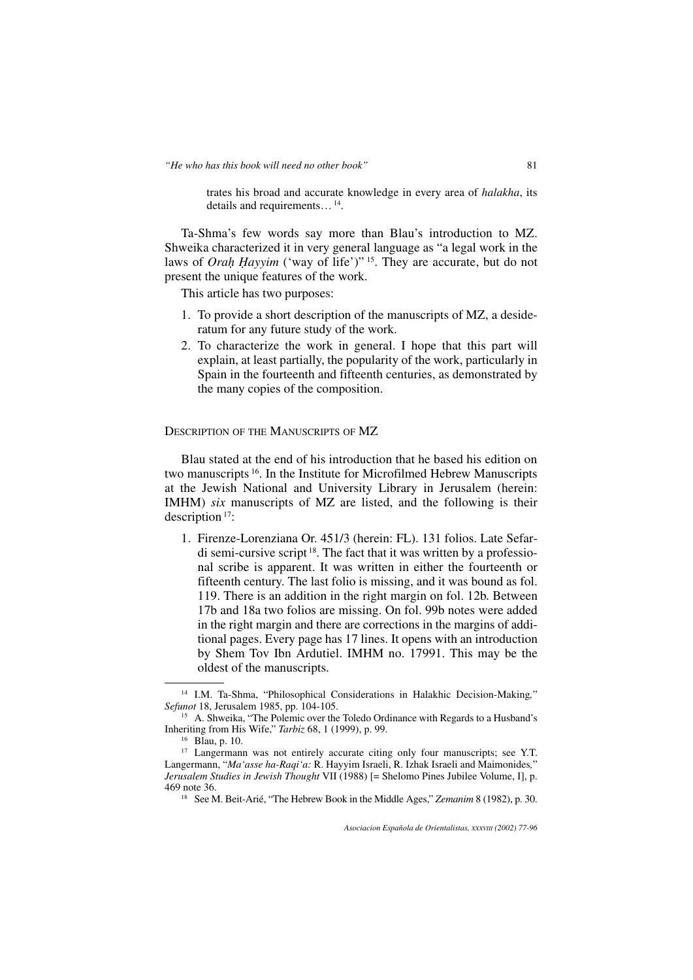trates his broad and accurate knowledge in every area of *halakha*, its details and requirements…14.

Ta-Shma's few words say more than Blau's introduction to MZ. Shweika characterized it in very general language as "a legal work in the laws of *Orah Hayyim* ('way of life')" 15. They are accurate, but do not present the unique features of the work.

This article has two purposes:

- 1. To provide a short description of the manuscripts of MZ, a desideratum for any future study of the work.
- 2. To characterize the work in general. I hope that this part will explain, at least partially, the popularity of the work, particularly in Spain in the fourteenth and fifteenth centuries, as demonstrated by the many copies of the composition.

DESCRIPTION OF THE MANUSCRIPTS OF MZ

Blau stated at the end of his introduction that he based his edition on two manuscripts 16. In the Institute for Microfilmed Hebrew Manuscripts at the Jewish National and University Library in Jerusalem (herein: IMHM) *six* manuscripts of MZ are listed, and the following is their description 17:

1. Firenze-Lorenziana Or. 451/3 (herein: FL). 131 folios. Late Sefardi semi-cursive script 18. The fact that it was written by a professional scribe is apparent. It was written in either the fourteenth or fifteenth century. The last folio is missing, and it was bound as fol. 119. There is an addition in the right margin on fol. 12b. Between 17b and 18a two folios are missing. On fol. 99b notes were added in the right margin and there are corrections in the margins of additional pages. Every page has 17 lines. It opens with an introduction by Shem Tov Ibn Ardutiel. IMHM no. 17991. This may be the oldest of the manuscripts.

<sup>14</sup> I.M. Ta-Shma, "Philosophical Considerations in Halakhic Decision-Making*,*" *Sefunot* 18, Jerusalem 1985, pp. 104-105.

<sup>&</sup>lt;sup>15</sup> A. Shweika, "The Polemic over the Toledo Ordinance with Regards to a Husband's Inheriting from His Wife," *Tarbiz* 68, 1 (1999), p. 99.

<sup>16</sup> Blau, p. 10.

<sup>&</sup>lt;sup>17</sup> Langermann was not entirely accurate citing only four manuscripts; see Y.T. Langermann, "*Ma'asse ha-Raqi'a:* R. Hayyim Israeli, R. Izhak Israeli and Maimonides*,*" *Jerusalem Studies in Jewish Thought* VII (1988) [= Shelomo Pines Jubilee Volume, I], p. 469 note 36.

<sup>18</sup> See M. Beit-Arié, "The Hebrew Book in the Middle Ages," *Zemanim* 8 (1982), p. 30.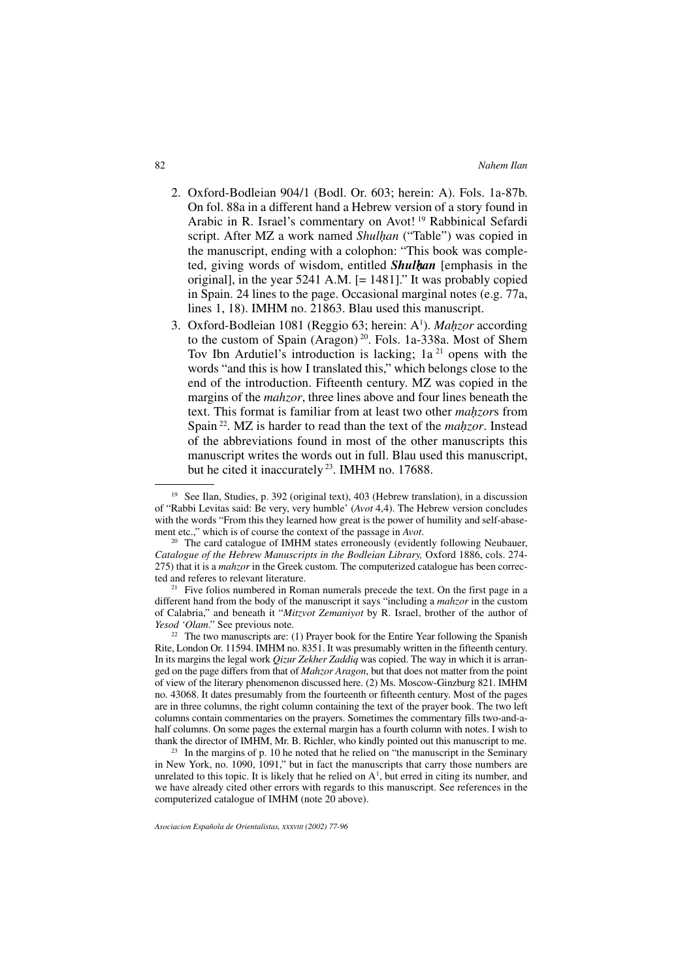- 2. Oxford-Bodleian 904/1 (Bodl. Or. 603; herein: A). Fols. 1a-87b. On fol. 88a in a different hand a Hebrew version of a story found in Arabic in R. Israel's commentary on Avot! <sup>19</sup> Rabbinical Sefardi script. After MZ a work named *Shulhan* ("Table") was copied in the manuscript, ending with a colophon: "This book was completed, giving words of wisdom, entitled *Shulhan* [emphasis in the original], in the year 5241 A.M. [= 1481]." It was probably copied in Spain. 24 lines to the page. Occasional marginal notes (e.g. 77a, lines 1, 18). IMHM no. 21863. Blau used this manuscript.
- 3. Oxford-Bodleian 1081 (Reggio 63; herein: A<sup>1</sup>). *Mahzor* according to the custom of Spain (Aragon)<sup>20</sup>. Fols. 1a-338a. Most of Shem Tov Ibn Ardutiel's introduction is lacking;  $1a<sup>21</sup>$  opens with the words "and this is how I translated this," which belongs close to the end of the introduction. Fifteenth century. MZ was copied in the margins of the *mahzor*, three lines above and four lines beneath the text. This format is familiar from at least two other *mahzor*s from Spain 22. MZ is harder to read than the text of the *mahzor*. Instead of the abbreviations found in most of the other manuscripts this manuscript writes the words out in full. Blau used this manuscript, but he cited it inaccurately 23. IMHM no. 17688.

 $21$  Five folios numbered in Roman numerals precede the text. On the first page in a different hand from the body of the manuscript it says "including a *mahzor* in the custom of Calabria," and beneath it "*Mitzvot Zemaniyot* by R. Israel, brother of the author of *Yesod 'Olam*." See previous note.

 $22$  The two manuscripts are: (1) Prayer book for the Entire Year following the Spanish Rite, London Or. 11594. IMHM no. 8351. It was presumably written in the fifteenth century. In its margins the legal work *Qizur Zekher Zaddiq* was copied. The way in which it is arranged on the page differs from that of *Mahzor Aragon*, but that does not matter from the point of view of the literary phenomenon discussed here. (2) Ms. Moscow-Ginzburg 821. IMHM no. 43068. It dates presumably from the fourteenth or fifteenth century. Most of the pages are in three columns, the right column containing the text of the prayer book. The two left columns contain commentaries on the prayers. Sometimes the commentary fills two-and-ahalf columns. On some pages the external margin has a fourth column with notes. I wish to thank the director of IMHM, Mr. B. Richler, who kindly pointed out this manuscript to me.

 $23$  In the margins of p. 10 he noted that he relied on "the manuscript in the Seminary in New York, no. 1090, 1091," but in fact the manuscripts that carry those numbers are unrelated to this topic. It is likely that he relied on  $A<sup>1</sup>$ , but erred in citing its number, and we have already cited other errors with regards to this manuscript. See references in the computerized catalogue of IMHM (note 20 above).

<sup>&</sup>lt;sup>19</sup> See Ilan, Studies, p. 392 (original text), 403 (Hebrew translation), in a discussion of "Rabbi Levitas said: Be very, very humble' (*Avot* 4,4). The Hebrew version concludes with the words "From this they learned how great is the power of humility and self-abasement etc.," which is of course the context of the passage in *Avot*.

<sup>&</sup>lt;sup>20</sup> The card catalogue of IMHM states erroneously (evidently following Neubauer, *Catalogue of the Hebrew Manuscripts in the Bodleian Library, Oxford 1886, cols. 274-*275) that it is a *mahzor* in the Greek custom. The computerized catalogue has been correc-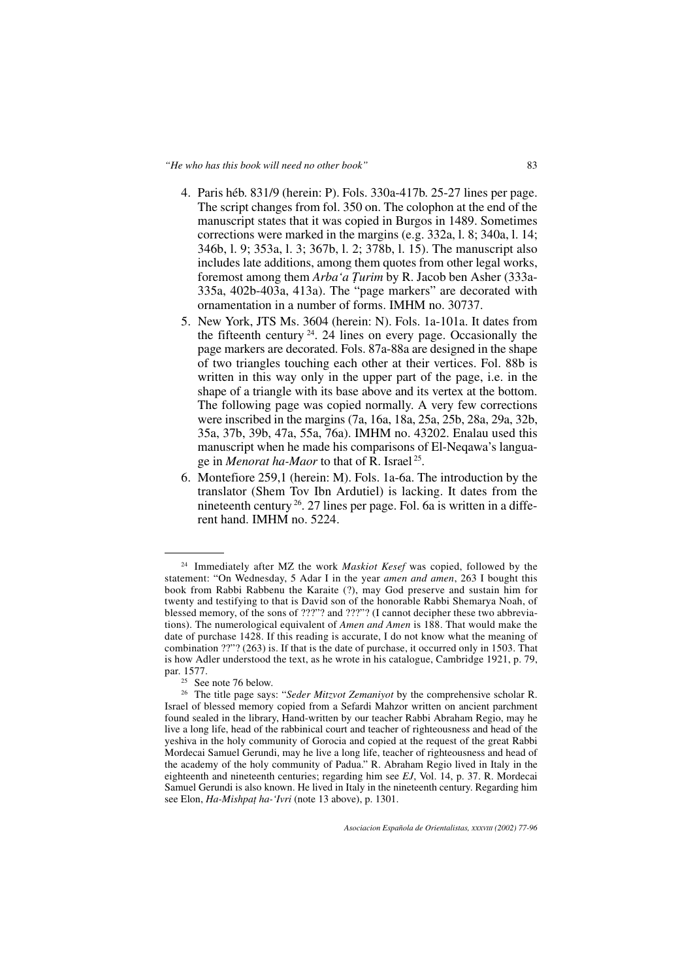- 4. Paris héb. 831/9 (herein: P). Fols. 330a-417b. 25-27 lines per page. The script changes from fol. 350 on. The colophon at the end of the manuscript states that it was copied in Burgos in 1489. Sometimes corrections were marked in the margins (e.g. 332a, l. 8; 340a, l. 14; 346b, l. 9; 353a, l. 3; 367b, l. 2; 378b, l. 15). The manuscript also includes late additions, among them quotes from other legal works, foremost among them *Arba'a Turim* by R. Jacob ben Asher (333a-335a, 402b-403a, 413a). The "page markers" are decorated with ornamentation in a number of forms. IMHM no. 30737.
- 5. New York, JTS Ms. 3604 (herein: N). Fols. 1a-101a. It dates from the fifteenth century  $24$ . 24 lines on every page. Occasionally the page markers are decorated. Fols. 87a-88a are designed in the shape of two triangles touching each other at their vertices. Fol. 88b is written in this way only in the upper part of the page, i.e. in the shape of a triangle with its base above and its vertex at the bottom. The following page was copied normally. A very few corrections were inscribed in the margins (7a, 16a, 18a, 25a, 25b, 28a, 29a, 32b, 35a, 37b, 39b, 47a, 55a, 76a). IMHM no. 43202. Enalau used this manuscript when he made his comparisons of El-Neqawa's language in *Menorat ha-Maor* to that of R. Israel 25.
- 6. Montefiore 259,1 (herein: M). Fols. 1a-6a. The introduction by the translator (Shem Tov Ibn Ardutiel) is lacking. It dates from the nineteenth century 26. 27 lines per page. Fol. 6a is written in a different hand. IMHM no. 5224.

<sup>24</sup> Immediately after MZ the work *Maskiot Kesef* was copied, followed by the statement: "On Wednesday, 5 Adar I in the year *amen and amen*, 263 I bought this book from Rabbi Rabbenu the Karaite (?), may God preserve and sustain him for twenty and testifying to that is David son of the honorable Rabbi Shemarya Noah, of blessed memory, of the sons of ???"? and ???"? (I cannot decipher these two abbreviations). The numerological equivalent of *Amen and Amen* is 188. That would make the date of purchase 1428. If this reading is accurate, I do not know what the meaning of combination ??"? (263) is. If that is the date of purchase, it occurred only in 1503. That is how Adler understood the text, as he wrote in his catalogue, Cambridge 1921, p. 79, par. 1577.

<sup>&</sup>lt;sup>25</sup> See note 76 below.

<sup>26</sup> The title page says: "*Seder Mitzvot Zemaniyot* by the comprehensive scholar R. Israel of blessed memory copied from a Sefardi Mahzor written on ancient parchment found sealed in the library, Hand-written by our teacher Rabbi Abraham Regio, may he live a long life, head of the rabbinical court and teacher of righteousness and head of the yeshiva in the holy community of Gorocia and copied at the request of the great Rabbi Mordecai Samuel Gerundi, may he live a long life, teacher of righteousness and head of the academy of the holy community of Padua." R. Abraham Regio lived in Italy in the eighteenth and nineteenth centuries; regarding him see *EJ*, Vol. 14, p. 37. R. Mordecai Samuel Gerundi is also known. He lived in Italy in the nineteenth century. Regarding him see Elon, *Ha-Mishpat ha-'Ivri* (note 13 above), p. 1301.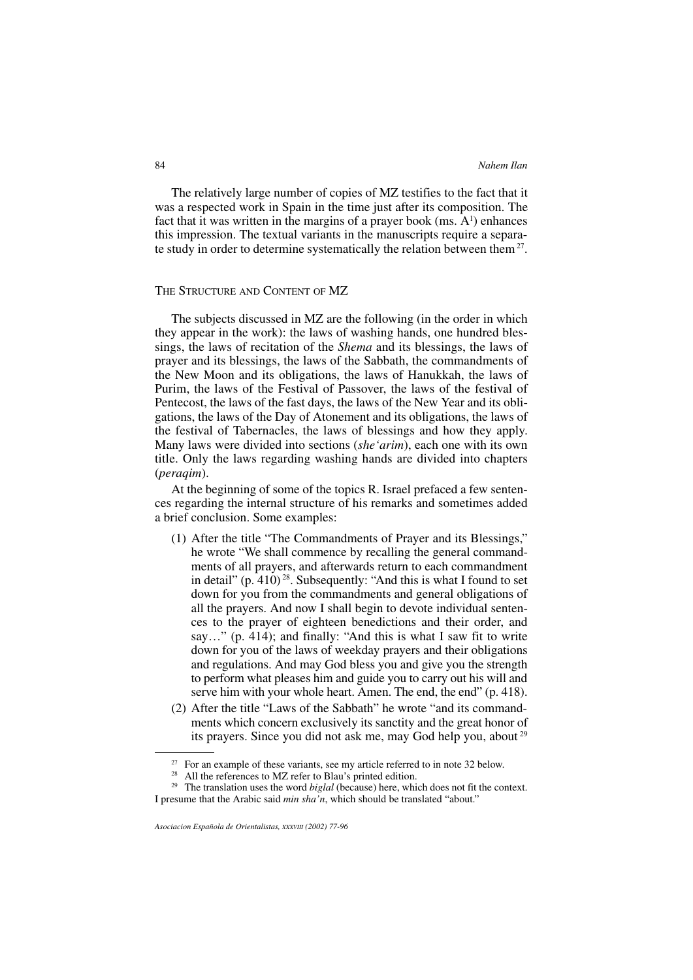The relatively large number of copies of MZ testifies to the fact that it was a respected work in Spain in the time just after its composition. The fact that it was written in the margins of a prayer book  $(ms. A<sup>1</sup>)$  enhances this impression. The textual variants in the manuscripts require a separate study in order to determine systematically the relation between them<sup>27</sup>.

#### THE STRUCTURE AND CONTENT OF MZ

The subjects discussed in MZ are the following (in the order in which they appear in the work): the laws of washing hands, one hundred blessings, the laws of recitation of the *Shema* and its blessings, the laws of prayer and its blessings, the laws of the Sabbath, the commandments of the New Moon and its obligations, the laws of Hanukkah, the laws of Purim, the laws of the Festival of Passover, the laws of the festival of Pentecost, the laws of the fast days, the laws of the New Year and its obligations, the laws of the Day of Atonement and its obligations, the laws of the festival of Tabernacles, the laws of blessings and how they apply. Many laws were divided into sections (*she'arim*), each one with its own title. Only the laws regarding washing hands are divided into chapters (*peraqim*).

At the beginning of some of the topics R. Israel prefaced a few sentences regarding the internal structure of his remarks and sometimes added a brief conclusion. Some examples:

- (1) After the title "The Commandments of Prayer and its Blessings," he wrote "We shall commence by recalling the general commandments of all prayers, and afterwards return to each commandment in detail"  $(p. 410)$ <sup>28</sup>. Subsequently: "And this is what I found to set down for you from the commandments and general obligations of all the prayers. And now I shall begin to devote individual sentences to the prayer of eighteen benedictions and their order, and say…" (p. 414); and finally: "And this is what I saw fit to write down for you of the laws of weekday prayers and their obligations and regulations. And may God bless you and give you the strength to perform what pleases him and guide you to carry out his will and serve him with your whole heart. Amen. The end, the end" (p. 418).
- (2) After the title "Laws of the Sabbath" he wrote "and its commandments which concern exclusively its sanctity and the great honor of its prayers. Since you did not ask me, may God help you, about <sup>29</sup>

 $27$  For an example of these variants, see my article referred to in note 32 below.

<sup>&</sup>lt;sup>28</sup> All the references to MZ refer to Blau's printed edition.

<sup>&</sup>lt;sup>29</sup> The translation uses the word *biglal* (because) here, which does not fit the context. I presume that the Arabic said *min sha'n*, which should be translated "about."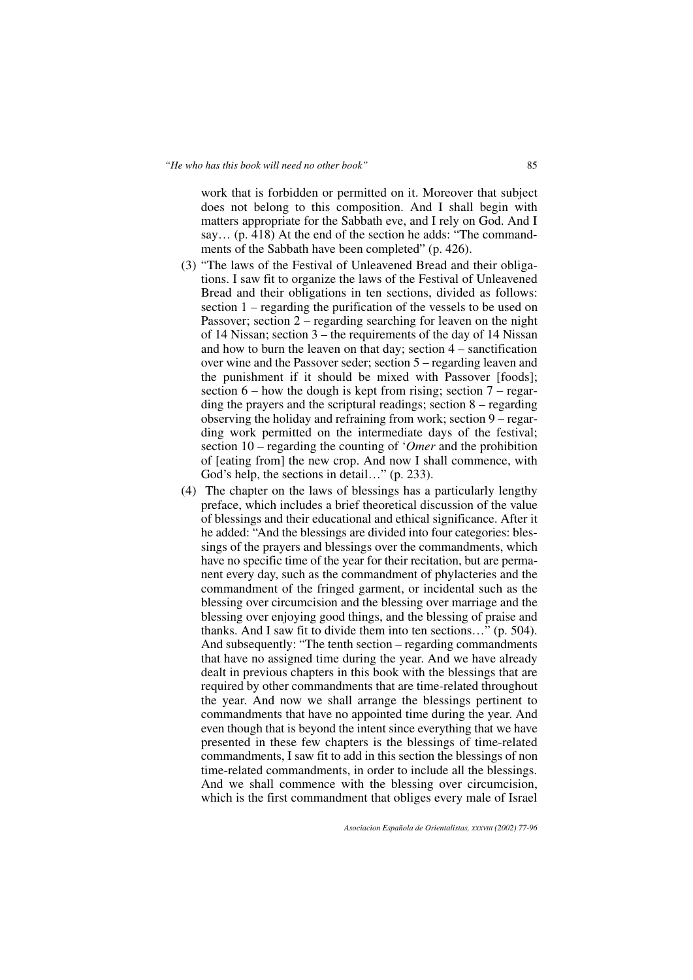work that is forbidden or permitted on it. Moreover that subject does not belong to this composition. And I shall begin with matters appropriate for the Sabbath eve, and I rely on God. And I say… (p. 418) At the end of the section he adds: "The commandments of the Sabbath have been completed" (p. 426).

- (3) "The laws of the Festival of Unleavened Bread and their obligations. I saw fit to organize the laws of the Festival of Unleavened Bread and their obligations in ten sections, divided as follows: section 1 – regarding the purification of the vessels to be used on Passover; section 2 – regarding searching for leaven on the night of 14 Nissan; section 3 – the requirements of the day of 14 Nissan and how to burn the leaven on that day; section  $4 -$  sanctification over wine and the Passover seder; section 5 – regarding leaven and the punishment if it should be mixed with Passover [foods]; section  $6$  – how the dough is kept from rising; section  $7$  – regarding the prayers and the scriptural readings; section 8 – regarding observing the holiday and refraining from work; section 9 – regarding work permitted on the intermediate days of the festival; section 10 – regarding the counting of '*Omer* and the prohibition of [eating from] the new crop. And now I shall commence, with God's help, the sections in detail…" (p. 233).
- (4) The chapter on the laws of blessings has a particularly lengthy preface, which includes a brief theoretical discussion of the value of blessings and their educational and ethical significance. After it he added: "And the blessings are divided into four categories: blessings of the prayers and blessings over the commandments, which have no specific time of the year for their recitation, but are permanent every day, such as the commandment of phylacteries and the commandment of the fringed garment, or incidental such as the blessing over circumcision and the blessing over marriage and the blessing over enjoying good things, and the blessing of praise and thanks. And I saw fit to divide them into ten sections…" (p. 504). And subsequently: "The tenth section – regarding commandments that have no assigned time during the year. And we have already dealt in previous chapters in this book with the blessings that are required by other commandments that are time-related throughout the year. And now we shall arrange the blessings pertinent to commandments that have no appointed time during the year. And even though that is beyond the intent since everything that we have presented in these few chapters is the blessings of time-related commandments, I saw fit to add in this section the blessings of non time-related commandments, in order to include all the blessings. And we shall commence with the blessing over circumcision, which is the first commandment that obliges every male of Israel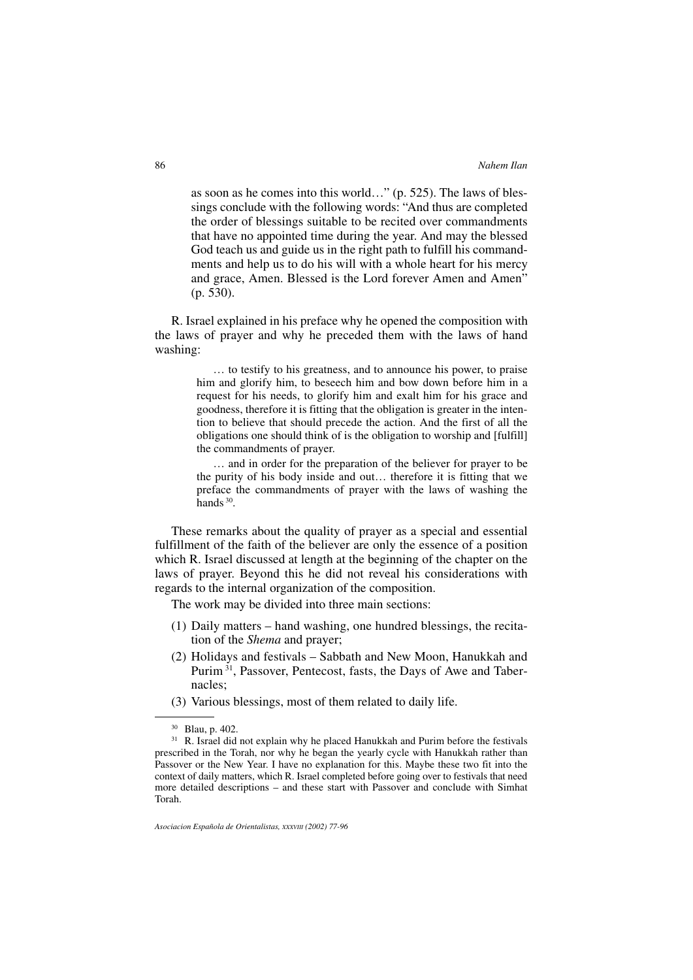as soon as he comes into this world…" (p. 525). The laws of blessings conclude with the following words: "And thus are completed the order of blessings suitable to be recited over commandments that have no appointed time during the year. And may the blessed God teach us and guide us in the right path to fulfill his commandments and help us to do his will with a whole heart for his mercy and grace, Amen. Blessed is the Lord forever Amen and Amen" (p. 530).

R. Israel explained in his preface why he opened the composition with the laws of prayer and why he preceded them with the laws of hand washing:

> … to testify to his greatness, and to announce his power, to praise him and glorify him, to beseech him and bow down before him in a request for his needs, to glorify him and exalt him for his grace and goodness, therefore it is fitting that the obligation is greater in the intention to believe that should precede the action. And the first of all the obligations one should think of is the obligation to worship and [fulfill] the commandments of prayer.

> … and in order for the preparation of the believer for prayer to be the purity of his body inside and out… therefore it is fitting that we preface the commandments of prayer with the laws of washing the hands 30.

These remarks about the quality of prayer as a special and essential fulfillment of the faith of the believer are only the essence of a position which R. Israel discussed at length at the beginning of the chapter on the laws of prayer. Beyond this he did not reveal his considerations with regards to the internal organization of the composition.

The work may be divided into three main sections:

- (1) Daily matters hand washing, one hundred blessings, the recitation of the *Shema* and prayer;
- (2) Holidays and festivals Sabbath and New Moon, Hanukkah and Purim<sup>31</sup>, Passover, Pentecost, fasts, the Days of Awe and Tabernacles;
- (3) Various blessings, most of them related to daily life.

<sup>30</sup> Blau, p. 402.

<sup>&</sup>lt;sup>31</sup> R. Israel did not explain why he placed Hanukkah and Purim before the festivals prescribed in the Torah, nor why he began the yearly cycle with Hanukkah rather than Passover or the New Year. I have no explanation for this. Maybe these two fit into the context of daily matters, which R. Israel completed before going over to festivals that need more detailed descriptions – and these start with Passover and conclude with Simhat Torah.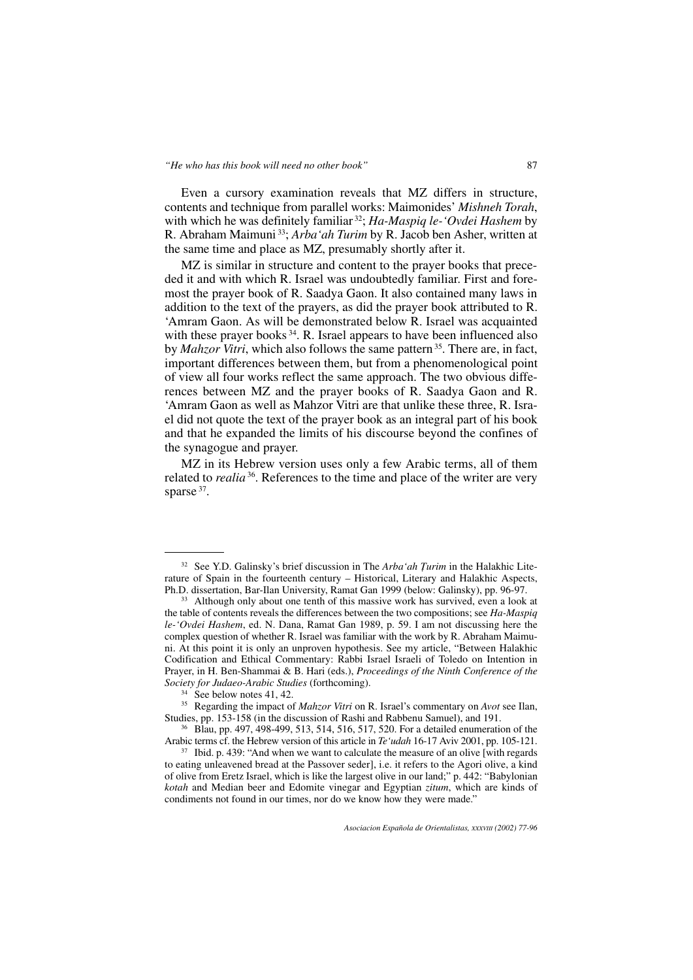Even a cursory examination reveals that MZ differs in structure, contents and technique from parallel works: Maimonides' *Mishneh Torah*, with which he was definitely familiar 32; *Ha-Maspiq le-'Ovdei Hashem* by R. Abraham Maimuni 33; *Arba'ah Turim* by R. Jacob ben Asher, written at the same time and place as MZ, presumably shortly after it.

MZ is similar in structure and content to the prayer books that preceded it and with which R. Israel was undoubtedly familiar. First and foremost the prayer book of R. Saadya Gaon. It also contained many laws in addition to the text of the prayers, as did the prayer book attributed to R. 'Amram Gaon. As will be demonstrated below R. Israel was acquainted with these prayer books<sup>34</sup>. R. Israel appears to have been influenced also by *Mahzor Vitri*, which also follows the same pattern<sup>35</sup>. There are, in fact, important differences between them, but from a phenomenological point of view all four works reflect the same approach. The two obvious differences between MZ and the prayer books of R. Saadya Gaon and R. 'Amram Gaon as well as Mahzor Vitri are that unlike these three, R. Israel did not quote the text of the prayer book as an integral part of his book and that he expanded the limits of his discourse beyond the confines of the synagogue and prayer.

MZ in its Hebrew version uses only a few Arabic terms, all of them related to *realia* 36. References to the time and place of the writer are very sparse 37.

<sup>32</sup> See Y.D. Galinsky's brief discussion in The *Arba'ah Turim* in the Halakhic Literature of Spain in the fourteenth century – Historical, Literary and Halakhic Aspects, Ph.D. dissertation, Bar-Ilan University, Ramat Gan 1999 (below: Galinsky), pp. 96-97.

<sup>&</sup>lt;sup>33</sup> Although only about one tenth of this massive work has survived, even a look at the table of contents reveals the differences between the two compositions; see *Ha-Maspiq le-'Ovdei Hashem*, ed. N. Dana, Ramat Gan 1989, p. 59. I am not discussing here the complex question of whether R. Israel was familiar with the work by R. Abraham Maimuni. At this point it is only an unproven hypothesis. See my article, "Between Halakhic Codification and Ethical Commentary: Rabbi Israel Israeli of Toledo on Intention in Prayer, in H. Ben-Shammai & B. Hari (eds.), *Proceedings of the Ninth Conference of the Society for Judaeo-Arabic Studies* (forthcoming).

<sup>&</sup>lt;sup>34</sup> See below notes 41, 42.

<sup>35</sup> Regarding the impact of *Mahzor Vitri* on R. Israel's commentary on *Avot* see Ilan, Studies, pp. 153-158 (in the discussion of Rashi and Rabbenu Samuel), and 191.

<sup>&</sup>lt;sup>36</sup> Blau, pp. 497, 498-499, 513, 514, 516, 517, 520. For a detailed enumeration of the Arabic terms cf. the Hebrew version of this article in *Te* '*udah* 16-17 Aviv 2001, pp. 105-121.

<sup>&</sup>lt;sup>37</sup> Ibid. p. 439: "And when we want to calculate the measure of an olive [with regards] to eating unleavened bread at the Passover seder], i.e. it refers to the Agori olive, a kind of olive from Eretz Israel, which is like the largest olive in our land;" p. 442: "Babylonian *kotah* and Median beer and Edomite vinegar and Egyptian *zitum*, which are kinds of condiments not found in our times, nor do we know how they were made."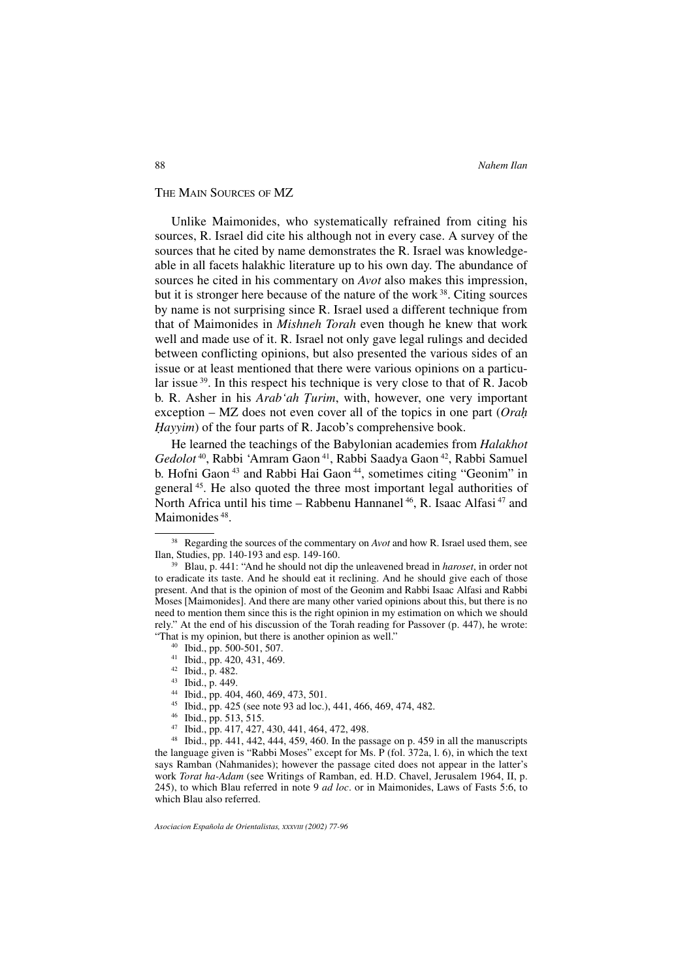## THE MAIN SOURCES OF MZ

Unlike Maimonides, who systematically refrained from citing his sources, R. Israel did cite his although not in every case. A survey of the sources that he cited by name demonstrates the R. Israel was knowledgeable in all facets halakhic literature up to his own day. The abundance of sources he cited in his commentary on *Avot* also makes this impression, but it is stronger here because of the nature of the work 38. Citing sources by name is not surprising since R. Israel used a different technique from that of Maimonides in *Mishneh Torah* even though he knew that work well and made use of it. R. Israel not only gave legal rulings and decided between conflicting opinions, but also presented the various sides of an issue or at least mentioned that there were various opinions on a particular issue 39. In this respect his technique is very close to that of R. Jacob b. R. Asher in his *Arab'ah Turim*, with, however, one very important exception – MZ does not even cover all of the topics in one part (*Orah Hayyim*) of the four parts of R. Jacob's comprehensive book.

He learned the teachings of the Babylonian academies from *Halakhot Gedolot* 40, Rabbi 'Amram Gaon 41, Rabbi Saadya Gaon 42, Rabbi Samuel b. Hofni Gaon <sup>43</sup> and Rabbi Hai Gaon 44, sometimes citing "Geonim" in general 45. He also quoted the three most important legal authorities of North Africa until his time – Rabbenu Hannanel <sup>46</sup>, R. Isaac Alfasi <sup>47</sup> and Maimonides<sup>48</sup>.

- <sup>45</sup> Ibid., pp. 425 (see note 93 ad loc.), 441, 466, 469, 474, 482.
- <sup>46</sup> Ibid., pp. 513, 515.

<sup>38</sup> Regarding the sources of the commentary on *Avot* and how R. Israel used them, see Ilan, Studies, pp. 140-193 and esp. 149-160.

<sup>39</sup> Blau, p. 441: "And he should not dip the unleavened bread in *haroset*, in order not to eradicate its taste. And he should eat it reclining. And he should give each of those present. And that is the opinion of most of the Geonim and Rabbi Isaac Alfasi and Rabbi Moses [Maimonides]. And there are many other varied opinions about this, but there is no need to mention them since this is the right opinion in my estimation on which we should rely." At the end of his discussion of the Torah reading for Passover (p. 447), he wrote: "That is my opinion, but there is another opinion as well."

<sup>40</sup> Ibid., pp. 500-501, 507.

<sup>41</sup> Ibid., pp. 420, 431, 469.

<sup>42</sup> Ibid., p. 482.

<sup>43</sup> Ibid., p. 449.

<sup>44</sup> Ibid., pp. 404, 460, 469, 473, 501.

<sup>47</sup> Ibid., pp. 417, 427, 430, 441, 464, 472, 498.

 $48$  Ibid., pp. 441, 442, 444, 459, 460. In the passage on p. 459 in all the manuscripts the language given is "Rabbi Moses" except for Ms. P (fol. 372a, l. 6), in which the text says Ramban (Nahmanides); however the passage cited does not appear in the latter's work *Torat ha-Adam* (see Writings of Ramban, ed. H.D. Chavel, Jerusalem 1964, II, p. 245), to which Blau referred in note 9 *ad loc*. or in Maimonides, Laws of Fasts 5:6, to which Blau also referred.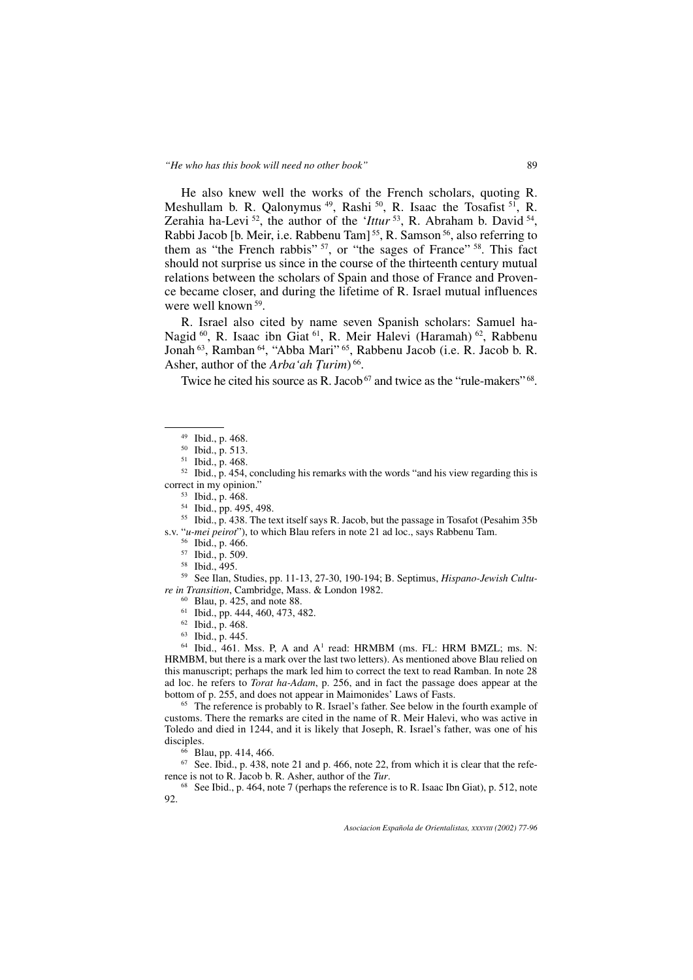He also knew well the works of the French scholars, quoting R. Meshullam b. R. Qalonymus<sup>49</sup>, Rashi<sup>50</sup>, R. Isaac the Tosafist<sup>51</sup>, R. Zerahia ha-Levi 52, the author of the '*Ittur* 53, R. Abraham b. David 54, Rabbi Jacob [b. Meir, i.e. Rabbenu Tam]<sup>55</sup>, R. Samson<sup>56</sup>, also referring to them as "the French rabbis" 57, or "the sages of France" 58. This fact should not surprise us since in the course of the thirteenth century mutual relations between the scholars of Spain and those of France and Provence became closer, and during the lifetime of R. Israel mutual influences were well known 59.

R. Israel also cited by name seven Spanish scholars: Samuel ha-Nagid 60, R. Isaac ibn Giat 61, R. Meir Halevi (Haramah) 62, Rabbenu Jonah 63, Ramban 64, "Abba Mari" 65, Rabbenu Jacob (i.e. R. Jacob b. R. Asher, author of the *Arba'ah Turim*) 66.

Twice he cited his source as R. Jacob<sup>67</sup> and twice as the "rule-makers"  $68$ .

 $52$  Ibid., p. 454, concluding his remarks with the words "and his view regarding this is correct in my opinion."

<sup>53</sup> Ibid., p. 468.

<sup>54</sup> Ibid., pp. 495, 498.

<sup>55</sup> Ibid., p. 438. The text itself says R. Jacob, but the passage in Tosafot (Pesahim 35b s.v. "*u-mei peirot*"), to which Blau refers in note 21 ad loc., says Rabbenu Tam.

<sup>56</sup> Ibid., p. 466.

<sup>57</sup> Ibid., p. 509.

<sup>58</sup> Ibid., 495.

<sup>59</sup> See Ilan, Studies, pp. 11-13, 27-30, 190-194; B. Septimus, *Hispano-Jewish Culture in Transition*, Cambridge, Mass. & London 1982.

- <sup>60</sup> Blau, p. 425, and note 88.
- <sup>61</sup> Ibid., pp. 444, 460, 473, 482.<br><sup>62</sup> Ibid., p. 468.

<sup>63</sup> Ibid., p. 445.

 $64$  Ibid.,  $461$ . Mss. P, A and A<sup>1</sup> read: HRMBM (ms. FL: HRM BMZL; ms. N: HRMBM, but there is a mark over the last two letters). As mentioned above Blau relied on this manuscript; perhaps the mark led him to correct the text to read Ramban. In note 28 ad loc. he refers to *Torat ha-Adam*, p. 256, and in fact the passage does appear at the bottom of p. 255, and does not appear in Maimonides' Laws of Fasts.

<sup>65</sup> The reference is probably to R. Israel's father. See below in the fourth example of customs. There the remarks are cited in the name of R. Meir Halevi, who was active in Toledo and died in 1244, and it is likely that Joseph, R. Israel's father, was one of his disciples.

<sup>66</sup> Blau, pp. 414, 466.

 $67$  See. Ibid., p. 438, note 21 and p. 466, note 22, from which it is clear that the reference is not to R. Jacob b. R. Asher, author of the *Tur*.

<sup>68</sup> See Ibid., p. 464, note 7 (perhaps the reference is to R. Isaac Ibn Giat), p. 512, note 92.

<sup>49</sup> Ibid., p. 468.

<sup>50</sup> Ibid., p. 513.

<sup>51</sup> Ibid., p. 468.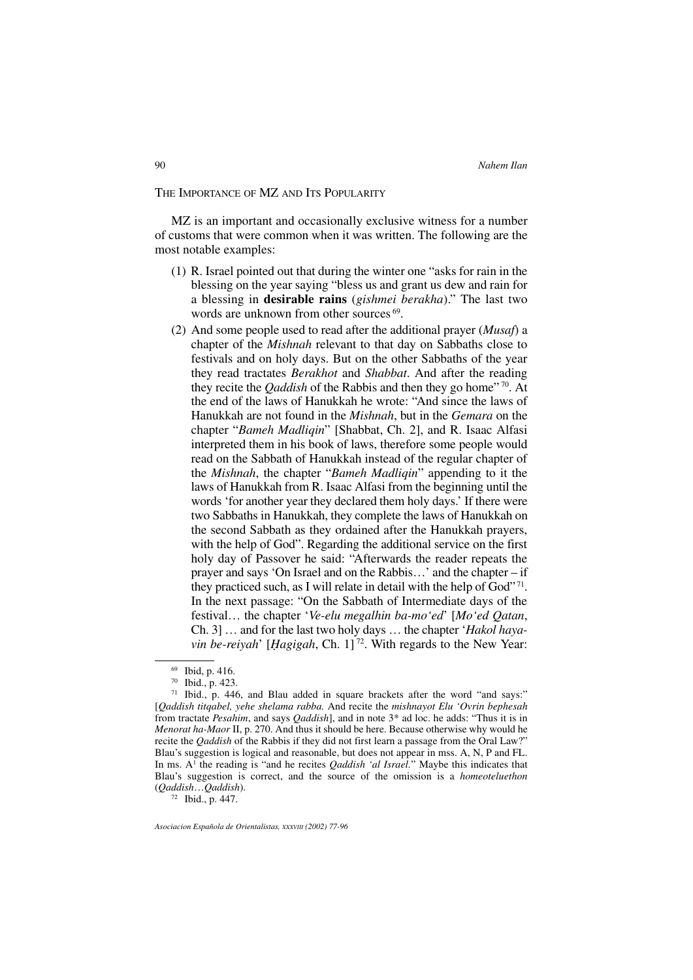## THE IMPORTANCE OF MZ AND ITS POPULARITY

MZ is an important and occasionally exclusive witness for a number of customs that were common when it was written. The following are the most notable examples:

- (1) R. Israel pointed out that during the winter one "asks for rain in the blessing on the year saying "bless us and grant us dew and rain for a blessing in **desirable rains** (*gishmei berakha*)." The last two words are unknown from other sources <sup>69</sup>.
- (2) And some people used to read after the additional prayer (*Musaf*) a chapter of the *Mishnah* relevant to that day on Sabbaths close to festivals and on holy days. But on the other Sabbaths of the year they read tractates *Berakhot* and *Shabbat*. And after the reading they recite the *Qaddish* of the Rabbis and then they go home<sup>"70</sup>. At the end of the laws of Hanukkah he wrote: "And since the laws of Hanukkah are not found in the *Mishnah*, but in the *Gemara* on the chapter "*Bameh Madliqin*" [Shabbat, Ch. 2], and R. Isaac Alfasi interpreted them in his book of laws, therefore some people would read on the Sabbath of Hanukkah instead of the regular chapter of the *Mishnah*, the chapter "*Bameh Madliqin*" appending to it the laws of Hanukkah from R. Isaac Alfasi from the beginning until the words 'for another year they declared them holy days.' If there were two Sabbaths in Hanukkah, they complete the laws of Hanukkah on the second Sabbath as they ordained after the Hanukkah prayers, with the help of God". Regarding the additional service on the first holy day of Passover he said: "Afterwards the reader repeats the prayer and says 'On Israel and on the Rabbis…' and the chapter – if they practiced such, as I will relate in detail with the help of  $God$ <sup> $, 71$ </sup>. In the next passage: "On the Sabbath of Intermediate days of the festival… the chapter '*Ve-elu megalhin ba-mo'ed*' [*Mo'ed Qatan*, Ch. 3] … and for the last two holy days … the chapter '*Hakol hayavin be-reiyah*' [*Hagigah*, Ch. 1] 72. With regards to the New Year:

<sup>72</sup> Ibid., p. 447.

<sup>69</sup> Ibid, p. 416.

<sup>70</sup> Ibid., p. 423.

<sup>71</sup> Ibid., p. 446, and Blau added in square brackets after the word "and says:" [*Qaddish titqabel, yehe shelama rabba.* And recite the *mishnayot Elu 'Ovrin bephesah* from tractate *Pesahim*, and says *Qaddish*], and in note 3\* ad loc. he adds: "Thus it is in *Menorat ha-Maor* II, p. 270. And thus it should be here. Because otherwise why would he recite the *Qaddish* of the Rabbis if they did not first learn a passage from the Oral Law?" Blau's suggestion is logical and reasonable, but does not appear in mss. A, N, P and FL. In ms. A<sup>1</sup> the reading is "and he recites *Qaddish 'al Israel*." Maybe this indicates that Blau's suggestion is correct, and the source of the omission is a *homeoteluethon* (*Qaddish*…*Qaddish*).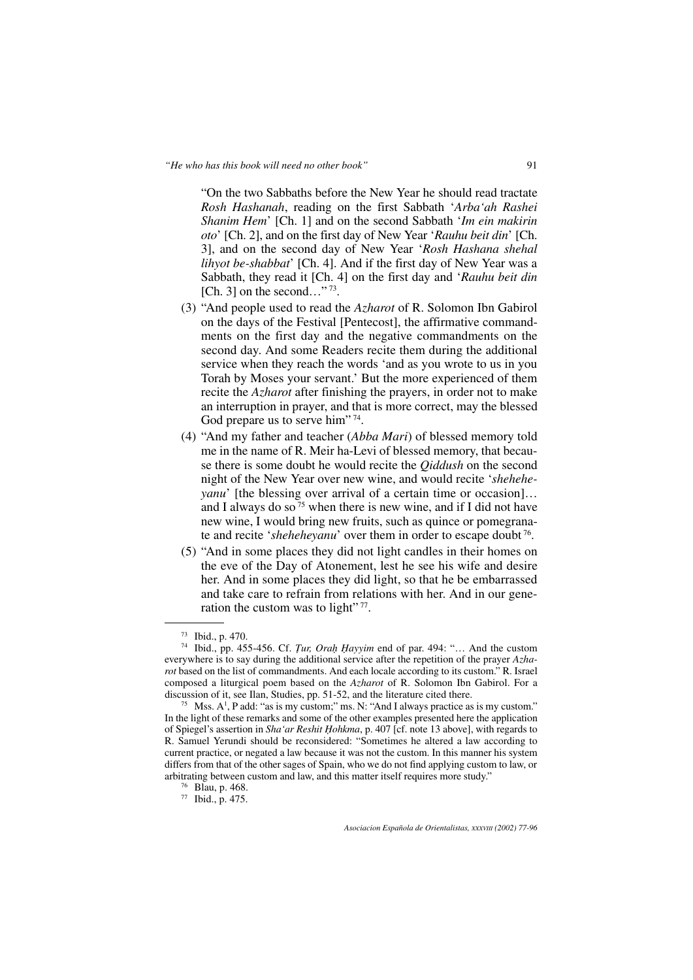"On the two Sabbaths before the New Year he should read tractate *Rosh Hashanah*, reading on the first Sabbath '*Arba'ah Rashei Shanim Hem*' [Ch. 1] and on the second Sabbath '*Im ein makirin oto*' [Ch. 2], and on the first day of New Year '*Rauhu beit din*' [Ch. 3], and on the second day of New Year '*Rosh Hashana shehal lihyot be-shabbat*' [Ch. 4]. And if the first day of New Year was a Sabbath, they read it [Ch. 4] on the first day and '*Rauhu beit din* [Ch. 3] on the second..."  $73$ .

- (3) "And people used to read the *Azharot* of R. Solomon Ibn Gabirol on the days of the Festival [Pentecost], the affirmative commandments on the first day and the negative commandments on the second day. And some Readers recite them during the additional service when they reach the words 'and as you wrote to us in you Torah by Moses your servant.' But the more experienced of them recite the *Azharot* after finishing the prayers, in order not to make an interruption in prayer, and that is more correct, may the blessed God prepare us to serve him"<sup>74</sup>.
- (4) "And my father and teacher (*Abba Mari*) of blessed memory told me in the name of R. Meir ha-Levi of blessed memory, that because there is some doubt he would recite the *Qiddush* on the second night of the New Year over new wine, and would recite '*sheheheyanu*' [the blessing over arrival of a certain time or occasion]... and I always do so  $\frac{75}{1}$  when there is new wine, and if I did not have new wine, I would bring new fruits, such as quince or pomegranate and recite '*sheheheyanu*' over them in order to escape doubt 76.
- (5) "And in some places they did not light candles in their homes on the eve of the Day of Atonement, lest he see his wife and desire her. And in some places they did light, so that he be embarrassed and take care to refrain from relations with her. And in our generation the custom was to light"<sup>77</sup>.

<sup>73</sup> Ibid., p. 470.

<sup>74</sup> Ibid., pp. 455-456. Cf. *Tur, Orah Hayyim* end of par. 494: "… And the custom everywhere is to say during the additional service after the repetition of the prayer *Azharot* based on the list of commandments. And each locale according to its custom." R. Israel composed a liturgical poem based on the *Azharot* of R. Solomon Ibn Gabirol. For a discussion of it, see Ilan, Studies, pp. 51-52, and the literature cited there.

<sup>&</sup>lt;sup>75</sup> Mss.  $A^1$ , P add: "as is my custom;" ms. N: "And I always practice as is my custom." In the light of these remarks and some of the other examples presented here the application of Spiegel's assertion in *Sha'ar Reshit Hohkma*, p. 407 [cf. note 13 above], with regards to R. Samuel Yerundi should be reconsidered: "Sometimes he altered a law according to current practice, or negated a law because it was not the custom. In this manner his system differs from that of the other sages of Spain, who we do not find applying custom to law, or arbitrating between custom and law, and this matter itself requires more study." 76 Blau, p. 468.

<sup>77</sup> Ibid., p. 475.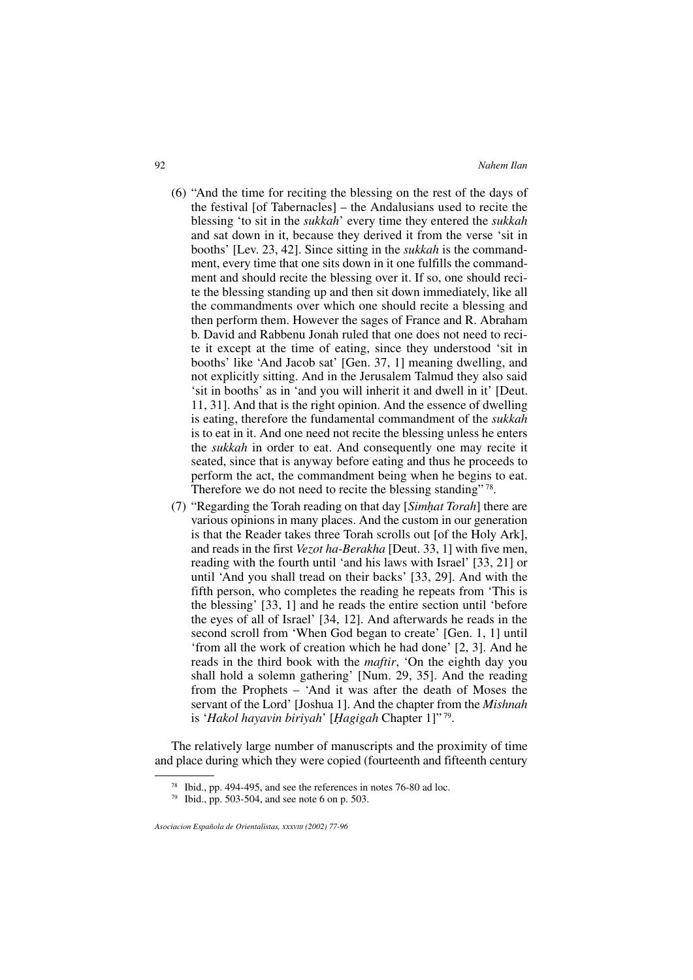- (6) "And the time for reciting the blessing on the rest of the days of the festival [of Tabernacles] – the Andalusians used to recite the blessing 'to sit in the *sukkah*' every time they entered the *sukkah* and sat down in it, because they derived it from the verse 'sit in booths' [Lev. 23, 42]. Since sitting in the *sukkah* is the commandment, every time that one sits down in it one fulfills the commandment and should recite the blessing over it. If so, one should recite the blessing standing up and then sit down immediately, like all the commandments over which one should recite a blessing and then perform them. However the sages of France and R. Abraham b. David and Rabbenu Jonah ruled that one does not need to recite it except at the time of eating, since they understood 'sit in booths' like 'And Jacob sat' [Gen. 37, 1] meaning dwelling, and not explicitly sitting. And in the Jerusalem Talmud they also said 'sit in booths' as in 'and you will inherit it and dwell in it' [Deut. 11, 31]. And that is the right opinion. And the essence of dwelling is eating, therefore the fundamental commandment of the *sukkah* is to eat in it. And one need not recite the blessing unless he enters the *sukkah* in order to eat. And consequently one may recite it seated, since that is anyway before eating and thus he proceeds to perform the act, the commandment being when he begins to eat. Therefore we do not need to recite the blessing standing" 78.
- (7) "Regarding the Torah reading on that day [*Simhat Torah*] there are various opinions in many places. And the custom in our generation is that the Reader takes three Torah scrolls out [of the Holy Ark], and reads in the first *Vezot ha-Berakha* [Deut. 33, 1] with five men, reading with the fourth until 'and his laws with Israel' [33, 21] or until 'And you shall tread on their backs' [33, 29]. And with the fifth person, who completes the reading he repeats from 'This is the blessing' [33, 1] and he reads the entire section until 'before the eyes of all of Israel' [34, 12]. And afterwards he reads in the second scroll from 'When God began to create' [Gen. 1, 1] until 'from all the work of creation which he had done' [2, 3]. And he reads in the third book with the *maftir*, 'On the eighth day you shall hold a solemn gathering' [Num. 29, 35]. And the reading from the Prophets – 'And it was after the death of Moses the servant of the Lord' [Joshua 1]. And the chapter from the *Mishnah* is '*Hakol hayavin biriyah*' [*Hagigah* Chapter 1]" 79.

The relatively large number of manuscripts and the proximity of time and place during which they were copied (fourteenth and fifteenth century

<sup>78</sup> Ibid., pp. 494-495, and see the references in notes 76-80 ad loc.

 $79$  Ibid., pp. 503-504, and see note 6 on p. 503.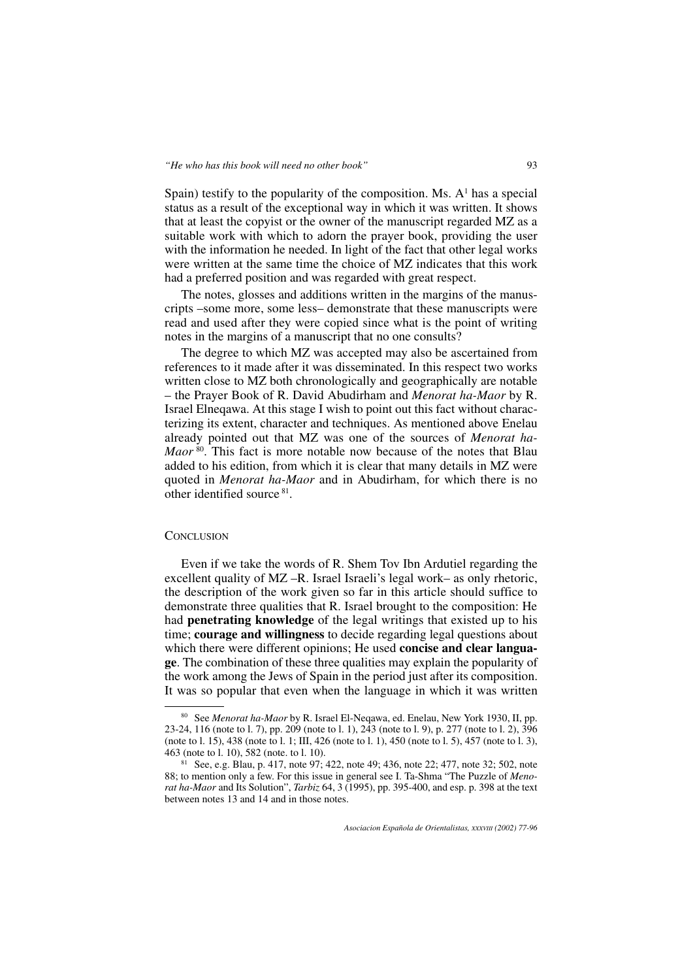Spain) testify to the popularity of the composition. Ms.  $A<sup>1</sup>$  has a special status as a result of the exceptional way in which it was written. It shows that at least the copyist or the owner of the manuscript regarded MZ as a suitable work with which to adorn the prayer book, providing the user with the information he needed. In light of the fact that other legal works were written at the same time the choice of MZ indicates that this work had a preferred position and was regarded with great respect.

The notes, glosses and additions written in the margins of the manuscripts –some more, some less– demonstrate that these manuscripts were read and used after they were copied since what is the point of writing notes in the margins of a manuscript that no one consults?

The degree to which MZ was accepted may also be ascertained from references to it made after it was disseminated. In this respect two works written close to MZ both chronologically and geographically are notable – the Prayer Book of R. David Abudirham and *Menorat ha-Maor* by R. Israel Elneqawa. At this stage I wish to point out this fact without characterizing its extent, character and techniques. As mentioned above Enelau already pointed out that MZ was one of the sources of *Menorat ha-Maor*<sup>80</sup>. This fact is more notable now because of the notes that Blau added to his edition, from which it is clear that many details in MZ were quoted in *Menorat ha-Maor* and in Abudirham, for which there is no other identified source 81.

#### **CONCLUSION**

Even if we take the words of R. Shem Tov Ibn Ardutiel regarding the excellent quality of MZ –R. Israel Israeli's legal work– as only rhetoric, the description of the work given so far in this article should suffice to demonstrate three qualities that R. Israel brought to the composition: He had **penetrating knowledge** of the legal writings that existed up to his time; **courage and willingness** to decide regarding legal questions about which there were different opinions; He used **concise and clear language**. The combination of these three qualities may explain the popularity of the work among the Jews of Spain in the period just after its composition. It was so popular that even when the language in which it was written

<sup>80</sup> See *Menorat ha-Maor* by R. Israel El-Neqawa, ed. Enelau, New York 1930, II, pp. 23-24, 116 (note to l. 7), pp. 209 (note to l. 1), 243 (note to l. 9), p. 277 (note to l. 2), 396 (note to l. 15), 438 (note to l. 1; III, 426 (note to l. 1), 450 (note to l. 5), 457 (note to l. 3), 463 (note to l. 10), 582 (note. to l. 10).

<sup>81</sup> See, e.g. Blau, p. 417, note 97; 422, note 49; 436, note 22; 477, note 32; 502, note 88; to mention only a few. For this issue in general see I. Ta-Shma "The Puzzle of *Menorat ha-Maor* and Its Solution", *Tarbiz* 64, 3 (1995), pp. 395-400, and esp. p. 398 at the text between notes 13 and 14 and in those notes.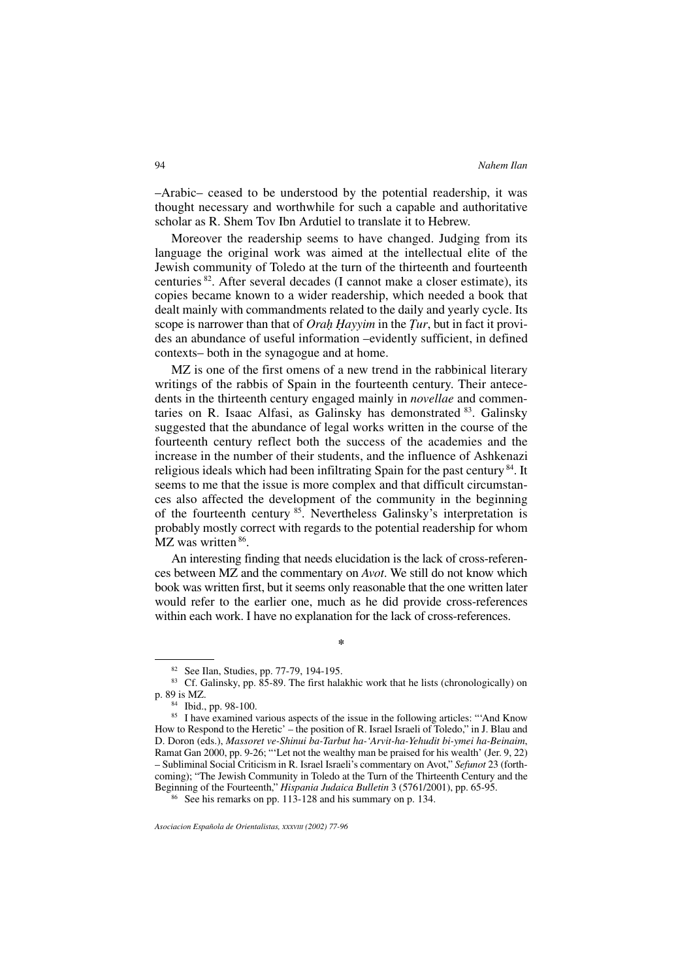–Arabic– ceased to be understood by the potential readership, it was thought necessary and worthwhile for such a capable and authoritative scholar as R. Shem Tov Ibn Ardutiel to translate it to Hebrew.

Moreover the readership seems to have changed. Judging from its language the original work was aimed at the intellectual elite of the Jewish community of Toledo at the turn of the thirteenth and fourteenth centuries 82. After several decades (I cannot make a closer estimate), its copies became known to a wider readership, which needed a book that dealt mainly with commandments related to the daily and yearly cycle. Its scope is narrower than that of *Orah Hayyim* in the *Tur*, but in fact it provides an abundance of useful information –evidently sufficient, in defined contexts– both in the synagogue and at home.

MZ is one of the first omens of a new trend in the rabbinical literary writings of the rabbis of Spain in the fourteenth century. Their antecedents in the thirteenth century engaged mainly in *novellae* and commentaries on R. Isaac Alfasi, as Galinsky has demonstrated 83. Galinsky suggested that the abundance of legal works written in the course of the fourteenth century reflect both the success of the academies and the increase in the number of their students, and the influence of Ashkenazi religious ideals which had been infiltrating Spain for the past century <sup>84</sup>. It seems to me that the issue is more complex and that difficult circumstances also affected the development of the community in the beginning of the fourteenth century 85. Nevertheless Galinsky's interpretation is probably mostly correct with regards to the potential readership for whom MZ was written  $86$ .

An interesting finding that needs elucidation is the lack of cross-references between MZ and the commentary on *Avot*. We still do not know which book was written first, but it seems only reasonable that the one written later would refer to the earlier one, much as he did provide cross-references within each work. I have no explanation for the lack of cross-references.

**\***

<sup>86</sup> See his remarks on pp. 113-128 and his summary on p. 134.

<sup>82</sup> See Ilan, Studies, pp. 77-79, 194-195.

 $83$  Cf. Galinsky, pp.  $85-89$ . The first halakhic work that he lists (chronologically) on p. 89 is MZ.

<sup>84</sup> Ibid., pp. 98-100.

<sup>&</sup>lt;sup>85</sup> I have examined various aspects of the issue in the following articles: "'And Know How to Respond to the Heretic' – the position of R. Israel Israeli of Toledo," in J. Blau and D. Doron (eds.), *Massoret ve-Shinui ba-Tarbut ha-'Arvit-ha-Yehudit bi-ymei ha-Beinaim*, Ramat Gan 2000, pp. 9-26; "'Let not the wealthy man be praised for his wealth' (Jer. 9, 22) – Subliminal Social Criticism in R. Israel Israeli's commentary on Avot," *Sefunot* 23 (forthcoming); "The Jewish Community in Toledo at the Turn of the Thirteenth Century and the Beginning of the Fourteenth," *Hispania Judaica Bulletin* 3 (5761/2001), pp. 65-95.